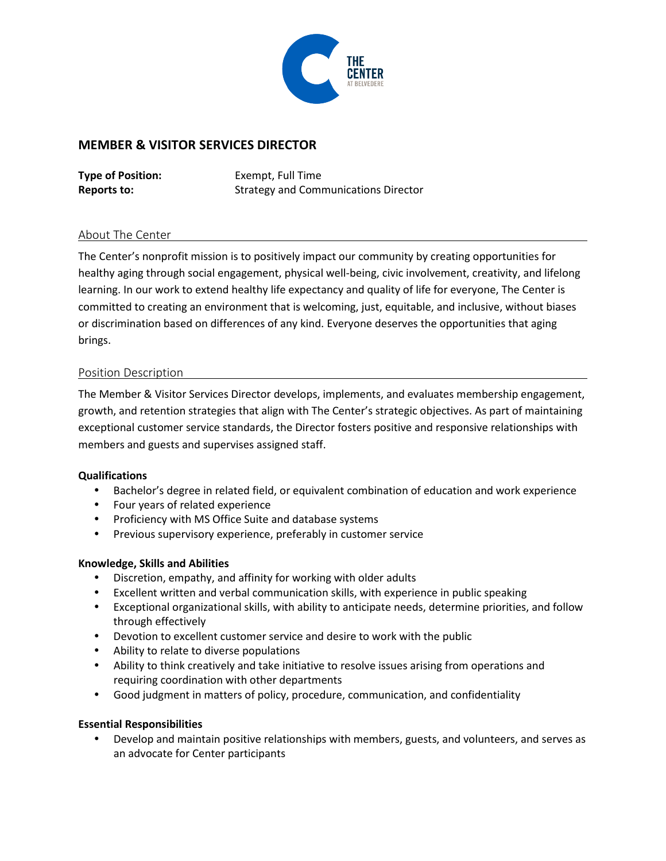

# **MEMBER & VISITOR SERVICES DIRECTOR**

**Type of Position:** Exempt, Full Time **Reports to:** Strategy and Communications Director

### About The Center

The Center's nonprofit mission is to positively impact our community by creating opportunities for healthy aging through social engagement, physical well-being, civic involvement, creativity, and lifelong learning. In our work to extend healthy life expectancy and quality of life for everyone, The Center is committed to creating an environment that is welcoming, just, equitable, and inclusive, without biases or discrimination based on differences of any kind. Everyone deserves the opportunities that aging brings.

### Position Description

The Member & Visitor Services Director develops, implements, and evaluates membership engagement, growth, and retention strategies that align with The Center's strategic objectives. As part of maintaining exceptional customer service standards, the Director fosters positive and responsive relationships with members and guests and supervises assigned staff.

#### **Qualifications**

- Bachelor's degree in related field, or equivalent combination of education and work experience
- Four years of related experience
- Proficiency with MS Office Suite and database systems
- Previous supervisory experience, preferably in customer service

#### **Knowledge, Skills and Abilities**

- Discretion, empathy, and affinity for working with older adults
- Excellent written and verbal communication skills, with experience in public speaking
- Exceptional organizational skills, with ability to anticipate needs, determine priorities, and follow through effectively
- Devotion to excellent customer service and desire to work with the public
- Ability to relate to diverse populations
- Ability to think creatively and take initiative to resolve issues arising from operations and requiring coordination with other departments
- Good judgment in matters of policy, procedure, communication, and confidentiality

## **Essential Responsibilities**

 Develop and maintain positive relationships with members, guests, and volunteers, and serves as an advocate for Center participants